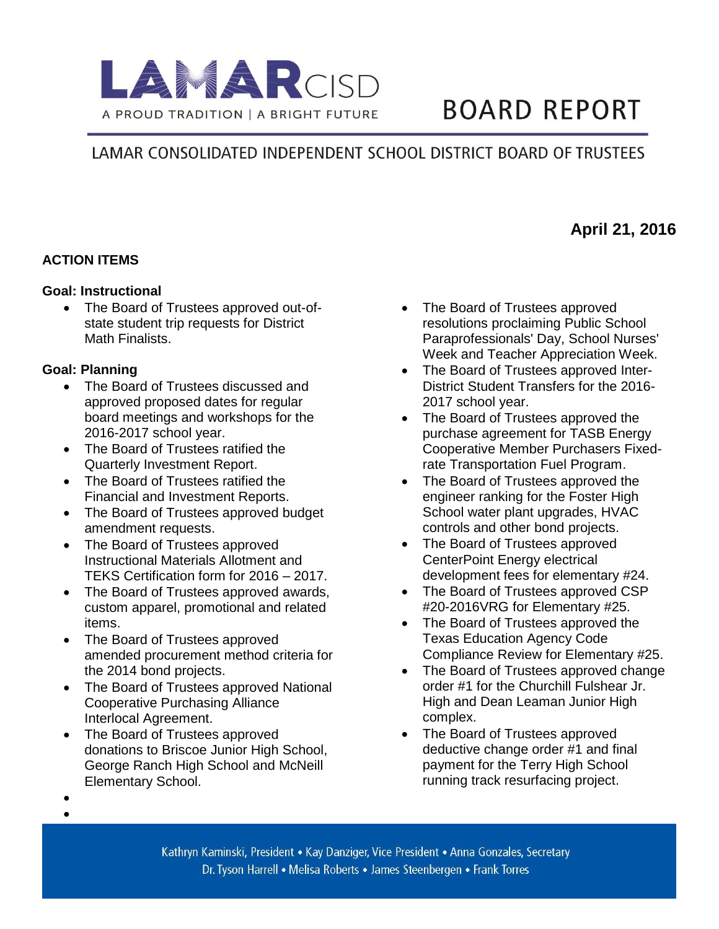

# **BOARD REPORT**

# LAMAR CONSOLIDATED INDEPENDENT SCHOOL DISTRICT BOARD OF TRUSTEES

# **MAAfFApril 21, 2016**

## **ACTION ITEMS**

#### **Goal: Instructional**

• The Board of Trustees approved out-ofstate student trip requests for District Math Finalists.

#### **Goal: Planning**

- The Board of Trustees discussed and approved proposed dates for regular board meetings and workshops for the 2016-2017 school year.
- The Board of Trustees ratified the Quarterly Investment Report.
- The Board of Trustees ratified the Financial and Investment Reports.
- The Board of Trustees approved budget amendment requests.
- The Board of Trustees approved Instructional Materials Allotment and TEKS Certification form for 2016 – 2017.
- The Board of Trustees approved awards, custom apparel, promotional and related items.
- The Board of Trustees approved amended procurement method criteria for the 2014 bond projects.
- The Board of Trustees approved National Cooperative Purchasing Alliance Interlocal Agreement.
- The Board of Trustees approved donations to Briscoe Junior High School, George Ranch High School and McNeill Elementary School.
- The Board of Trustees approved resolutions proclaiming Public School Paraprofessionals' Day, School Nurses' Week and Teacher Appreciation Week.
- The Board of Trustees approved Inter-District Student Transfers for the 2016- 2017 school year.
- The Board of Trustees approved the purchase agreement for TASB Energy Cooperative Member Purchasers Fixedrate Transportation Fuel Program.
- The Board of Trustees approved the engineer ranking for the Foster High School water plant upgrades, HVAC controls and other bond projects.
- The Board of Trustees approved CenterPoint Energy electrical development fees for elementary #24.
- The Board of Trustees approved CSP #20-2016VRG for Elementary #25.
- The Board of Trustees approved the Texas Education Agency Code Compliance Review for Elementary #25.
- The Board of Trustees approved change order #1 for the Churchill Fulshear Jr. High and Dean Leaman Junior High complex.
- The Board of Trustees approved deductive change order #1 and final payment for the Terry High School running track resurfacing project.

 $\bullet$  $\bullet$ 

> Kathryn Kaminski, President • Kay Danziger, Vice President • Anna Gonzales, Secretary Dr. Tyson Harrell • Melisa Roberts • James Steenbergen • Frank Torres